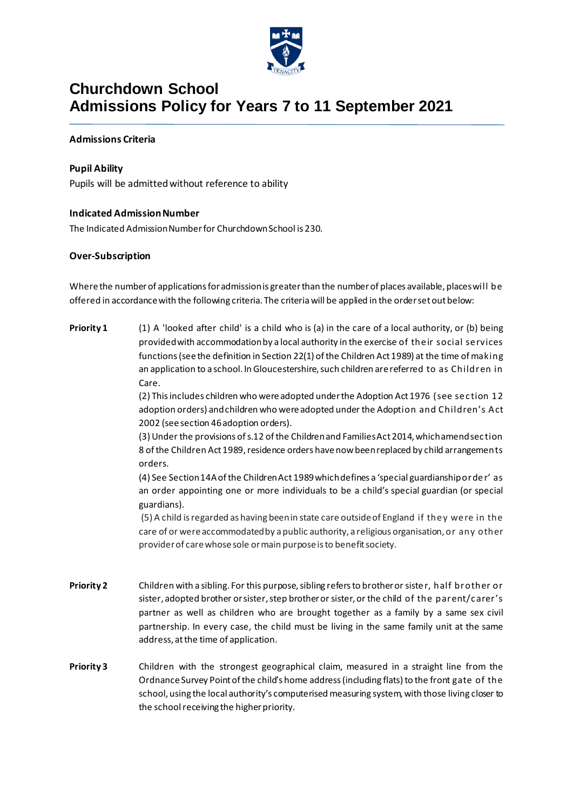

### **Churchdown School Admissions Policy for Years 7 to 11 September 2021**

#### **Admissions Criteria**

#### **Pupil Ability**

Pupils will be admitted without reference to ability

#### **Indicated Admission Number**

The Indicated Admission Number for Churchdown School is 230.

#### **Over-Subscription**

Where the number of applications for admission is greater than the number of places available, places will be offered in accordance with the following criteria. The criteria will be applied in the order set out below:

**Priority 1** (1) A 'looked after child' is a child who is (a) in the care of a local authority, or (b) being provided with accommodation by a local authority in the exercise of the ir social se rvices functions (see the definition in Section 22(1) of the Children Act 1989) at the time of making an application to a school. In Gloucestershire, such children are referred to as Children in Care.

> (2) This includes children who were adopted under the Adoption Act 1976 (see se c tion 12 adoption orders) and children who were adopted under the Adoption and Children's Act 2002 (see section 46 adoption orders).

> (3) Under the provisions of s.12 of the Children and Families Act 2014, which amend sec tion 8 of the Children Act 1989, residence orders have now been replaced by child arrangements orders.

> (4) See Section 14A of the Children Act 1989 which defines a 'special guardianship orde r' as an order appointing one or more individuals to be a child's special guardian (or special guardians).

> (5) A child is regarded as having been in state care outside of England if the y we re in the care of or were accommodated by a public authority, a religious organisation, or any other provider of care whose sole or main purpose is to benefit society.

- **Priority 2** Children with a sibling. For this purpose, sibling refers to brother or siste r, half brother or sister, adopted brother or sister, step brother or sister, or the child of the parent/carer's partner as well as children who are brought together as a family by a same sex civil partnership. In every case, the child must be living in the same family unit at the same address, at the time of application.
- **Priority 3** Children with the strongest geographical claim, measured in a straight line from the Ordnance Survey Point of the child's home address (including flats) to the front gate of the school, using the local authority's computerised measuring system, with those living closer to the school receiving the higher priority.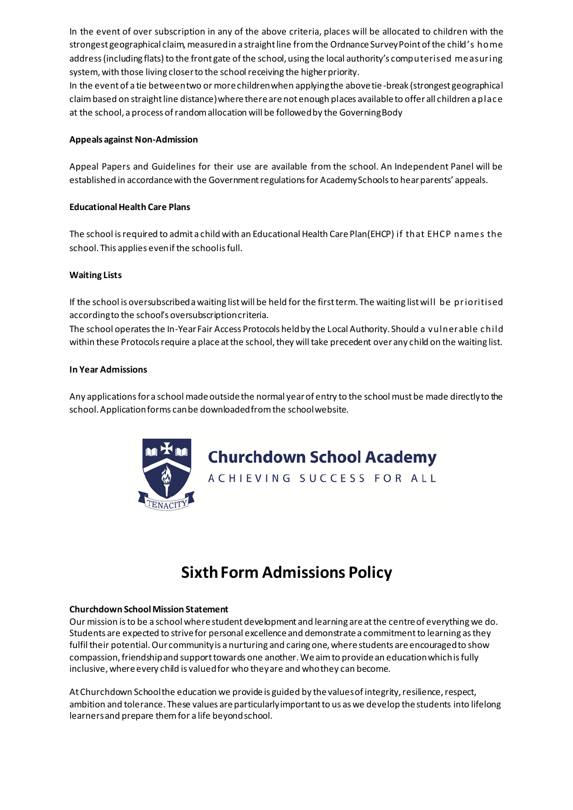In the event of over subscription in any of the above criteria, places will be allocated to children with the strongest geographical claim, measured in a straight line from the Ordnance Survey Point of the child's home address (including flats) to the front gate of the school, using the local authority's computerised me asuring system, with those living closer to the school receiving the higher priority.

In the event of a tie between two or more children when applying the above tie-break (strongest geographical claim based on straight line distance) where there are not enough places available to offer all children a plac e at the school, a process of random allocation will be followed by the Governing Body

#### **Appeals against Non-Admission**

Appeal Papers and Guidelines for their use are available from the school. An Independent Panel will be established in accordance with the Government regulations for Academy Schools to hear parents' appeals.

#### **Educational Health Care Plans**

The school is required to admit a child with an Educational Health Care Plan(EHCP) if that EHCP name s the school. This applies even if the school is full.

#### **Waiting Lists**

If the school is oversubscribed a waiting list will be held for the first term. The waiting list will be prioritised according to the school's oversubscription criteria.

The school operates the In-Year Fair Access Protocols held by the Local Authority. Should a vulnerable c hild within these Protocols require a place at the school, they will take precedent over any child on the waiting list.

#### **In Year Admissions**

Any applications for a school made outside the normal year of entry to the school must be made directly to the school. Application forms can be downloaded from the school website.



## **Churchdown School Academy**

ACHIEVING SUCCESS FOR ALL

# **Sixth Form Admissions Policy**

#### **Churchdown School Mission Statement**

Our mission is to be a school where student development and learning are at the centre of everything we do. Students are expected to strive for personal excellence and demonstrate a commitment to learning as they fulfil their potential. Our community is a nurturing and caring one, where students are encouraged to show compassion, friendship and support towards one another. We aim to provide an education which is fully inclusive, where every child is valued for who they are and who they can become.

At Churchdown School the education we provide is guided by the values of integrity, resilience, respect, ambition and tolerance. These values are particularly important to us as we develop the students into lifelong learners and prepare them for a life beyond school.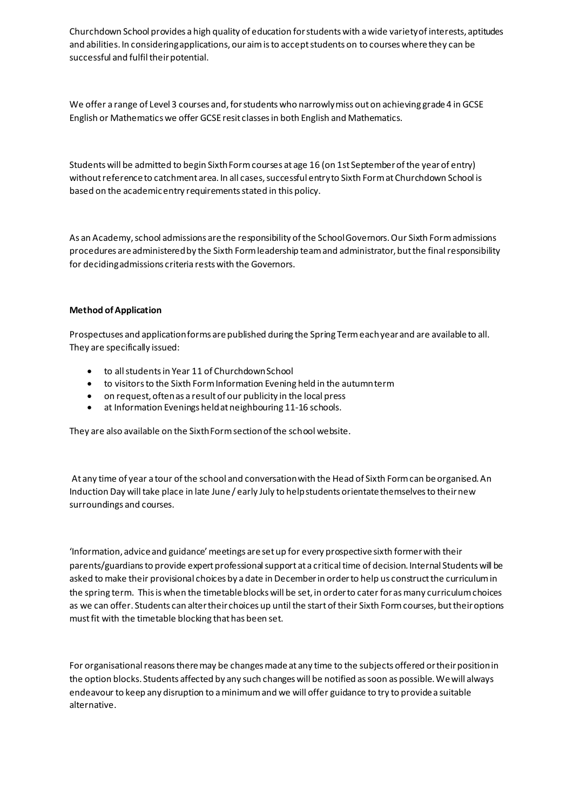Churchdown School provides a high quality of education for students with a wide variety of interests, aptitudes and abilities. In considering applications, our aim is to accept students on to courses where they can be successful and fulfil their potential.

We offer a range of Level 3 courses and, for students who narrowly miss out on achieving grade 4 in GCSE English or Mathematics we offer GCSE resit classes in both English and Mathematics.

Students will be admitted to begin Sixth Form courses at age 16 (on 1st September of the year of entry) without reference to catchment area. In all cases, successful entry to Sixth Form at Churchdown School is based on the academic entry requirements stated in this policy.

As an Academy, school admissions are the responsibility of the School Governors. Our Sixth Form admissions procedures are administered by the Sixth Form leadership team and administrator, but the final responsibility for deciding admissions criteria rests with the Governors.

#### **Method of Application**

Prospectuses and application forms are published during the Spring Term each year and are available to all. They are specifically issued:

- to all students in Year 11 of Churchdown School
- to visitors to the Sixth Form Information Evening held in the autumn term
- on request, often as a result of our publicity in the local press
- at Information Evenings held at neighbouring 11-16 schools.

They are also available on the Sixth Form section of the school website.

At any time of year a tour of the school and conversation with the Head of Sixth Form can be organised. An Induction Day will take place in late June / early July to help students orientate themselves to their new surroundings and courses.

'Information, advice and guidance' meetings are set up for every prospective sixth former with their parents/guardians to provide expert professional support at a critical time of decision. Internal Students will be asked to make their provisional choices by a date in December in order to help us construct the curriculum in the spring term. This is when the timetable blocks will be set, in order to cater for as many curriculum choices as we can offer. Students can alter their choices up until the start of their Sixth Form courses, but their options must fit with the timetable blocking that has been set.

For organisational reasons there may be changes made at any time to the subjects offered or their position in the option blocks. Students affected by any such changes will be notified as soon as possible. We will always endeavour to keep any disruption to a minimum and we will offer guidance to try to provide a suitable alternative.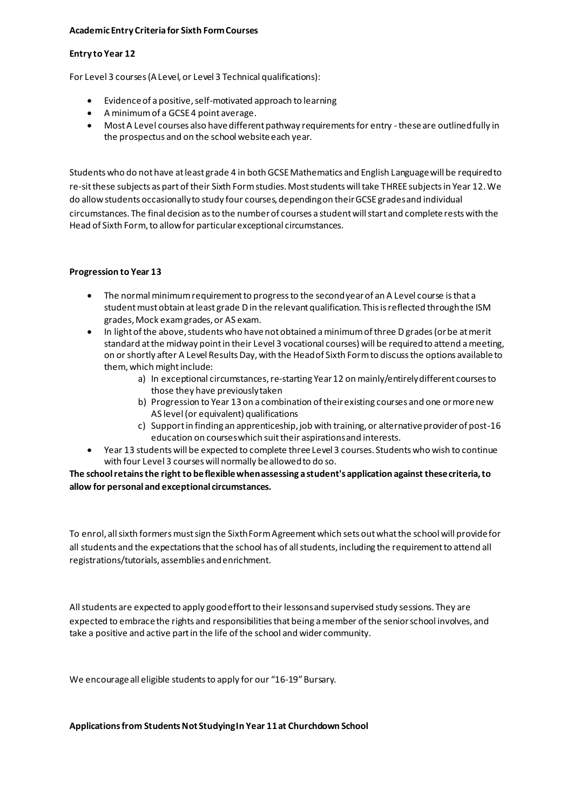#### **Academic Entry Criteria for Sixth Form Courses**

#### **Entry to Year 12**

For Level 3 courses (A Level, or Level 3 Technical qualifications):

- Evidence of a positive, self-motivated approach to learning
- A minimum of a GCSE 4 point average.
- Most A Level courses also have different pathway requirements for entry -these are outlined fully in the prospectus and on the school website each year.

Students who do not have at least grade 4 in both GCSE Mathematics and English Language will be required to re-sit these subjects as part of their Sixth Form studies. Most students will take THREE subjects in Year 12. We do allow students occasionally to study four courses, depending on their GCSE grades and individual circumstances. The final decision as to the number of courses a student will start and complete rests with the Head of Sixth Form, to allow for particular exceptional circumstances.

#### **Progression to Year 13**

- The normal minimum requirement to progress to the second year of an A Level course is that a student must obtain at least grade D in the relevant qualification. This is reflected through the ISM grades, Mock exam grades, or AS exam.
- In light of the above, students who have not obtained a minimum of three D grades (or be at merit standard at the midway point in their Level 3 vocational courses) will be required to attend a meeting, on or shortly after A Level Results Day, with the Head of Sixth Form to discuss the options available to them, which might include:
	- a) In exceptional circumstances, re-starting Year 12 on mainly/entirely different courses to those they have previously taken
	- b) Progression to Year 13 on a combination of their existing courses and one or more new AS level (or equivalent) qualifications
	- c) Support in finding an apprenticeship, job with training, or alternative provider of post-16 education on courses which suit their aspirations and interests.
- Year 13 students will be expected to complete three Level 3 courses. Students who wish to continue with four Level 3 courses will normally be allowed to do so.

**The school retains the right to be flexible when assessing a student's application against these criteria, to allow for personal and exceptional circumstances.**

To enrol, all sixth formers must sign the Sixth Form Agreement which sets out what the school will provide for all students and the expectations that the school has of all students, including the requirement to attend all registrations/tutorials, assemblies and enrichment.

All students are expected to apply good effort to their lessons and supervised study sessions. They are expected to embrace the rights and responsibilities that being a member of the senior school involves, and take a positive and active part in the life of the school and wider community.

We encourage all eligible students to apply for our "16-19" Bursary.

**Applications from Students Not Studying In Year 11 at Churchdown School**